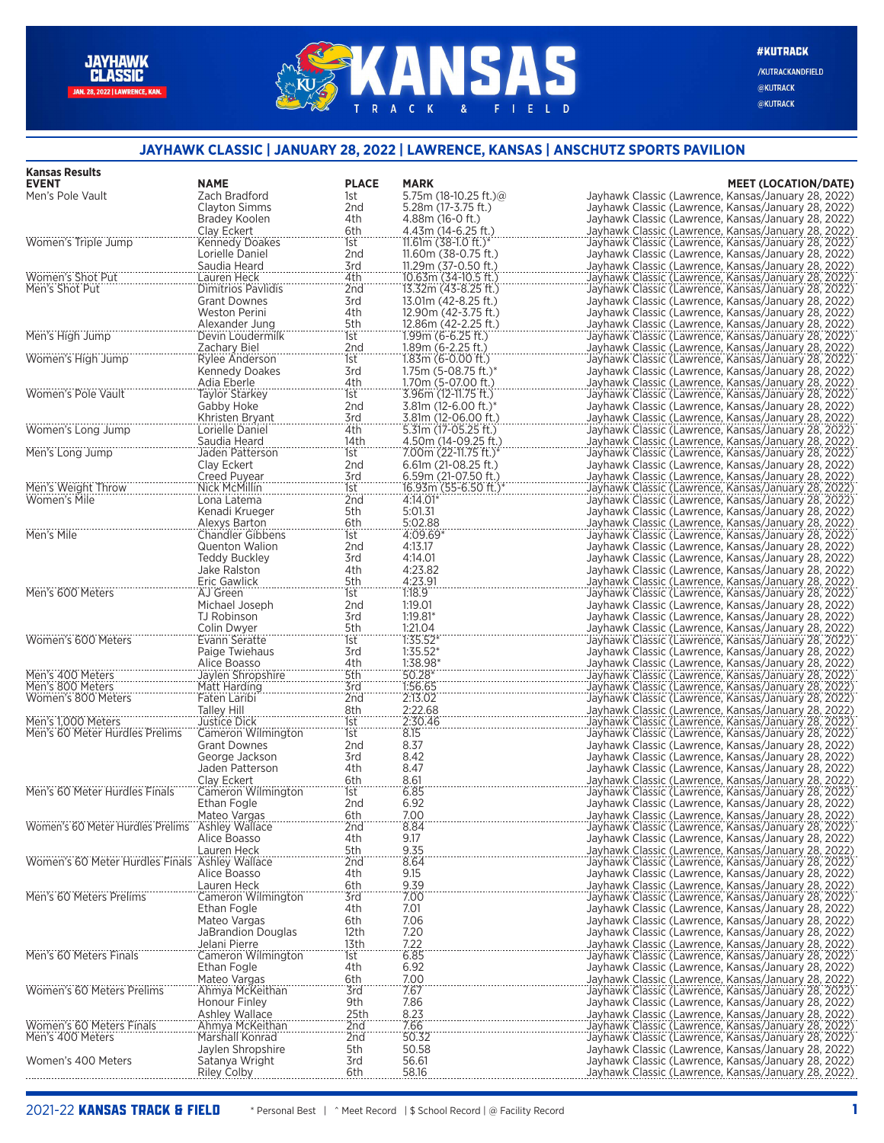## **ANSAS**  $K$  $\mathbf{A}$  $\mathsf{C}$ FIELD  $\mathsf{R}$  $\mathbf{g}$

**#KUTRACK** 

/KUTRACKANDFIELD @KUTRACK @KUTRACK

## **JAYHAWK CLASSIC | JANUARY 28, 2022 | LAWRENCE, KANSAS | ANSCHUTZ SPORTS PAVILION**

| <b>Kansas Results</b>                          |                                          |                 |                                                 |                                                                                                            |
|------------------------------------------------|------------------------------------------|-----------------|-------------------------------------------------|------------------------------------------------------------------------------------------------------------|
| <b>EVENT</b>                                   | <b>NAME</b>                              | <b>PLACE</b>    | <b>MARK</b>                                     | <b>MEET (LOCATION/DATE)</b>                                                                                |
| Men's Pole Vault                               | Zach Bradford<br>Clayton Simms           | 1st<br>2nd      | 5.75m (18-10.25 ft.) $@$<br>5.28m (17-3.75 ft.) | Jayhawk Classic (Lawrence, Kansas/January 28, 2022)<br>Jayhawk Classic (Lawrence, Kansas/January 28, 2022) |
|                                                | Bradey Koolen                            | 4th             | 4.88m (16-0 ft.)                                | Jayhawk Classic (Lawrence, Kansas/January 28, 2022)                                                        |
|                                                | Clay Eckert                              | 6th             | 4.43m (14-6.25 ft.)                             | Jayhawk Classic (Lawrence, Kansas/January 28, 2022)                                                        |
| Women's Triple Jump                            | <b>Kennedy Doakes</b>                    | 1st             | 11.61m $(38-1.0 \text{ ft.})^*$                 | Jayhawk Classic (Lawrence, Kansas/January 28, 2022)                                                        |
|                                                | Lorielle Daniel                          | 2nd             | 11.60m (38-0.75 ft.)                            | Jayhawk Classic (Lawrence, Kansas/January 28, 2022)                                                        |
|                                                | Saudia Heard                             | 3rd             | 11.29m (37-0.50 ft.)                            | Jayhawk Classic (Lawrence, Kansas/January 28, 2022)                                                        |
| Women's Shot Put<br>Men's Shot Put             | Lauren Heck<br><b>Dimitrios Pavlidis</b> | 4th<br>2nd      | 10.63m (34-10.5 ft.)<br>13.32m (43-8.25 ft.)    | Jayhawk Classic (Lawrence, Kansas/January 28, 2022)<br>Jayhawk Classic (Lawrence, Kansas/January 28, 2022) |
|                                                | <b>Grant Downes</b>                      | 3rd             | 13.01m (42-8.25 ft.)                            | Jayhawk Classic (Lawrence, Kansas/January 28, 2022)                                                        |
|                                                | <b>Weston Perini</b>                     | 4th             | 12.90m (42-3.75 ft.)                            | Jayhawk Classic (Lawrence, Kansas/January 28, 2022)                                                        |
|                                                | Alexander Jung                           | 5th             | 12.86m (42-2.25 ft.)                            | Jayhawk Classic (Lawrence, Kansas/January 28, 2022)                                                        |
| Men's High Jump                                | Devin Loudermilk                         | 1st             | $1.99m$ (6-6.25 ft.)                            | Jayhawk Classic (Lawrence, Kansas/January 28, 2022)                                                        |
| Women's High Jump                              | Zachary Biel<br>Rylee Anderson           | 2nd<br>1st      | $1.89m (6-2.25 ft.)$<br>$1.83m(6-0.00 ft.)$     | Jayhawk Classic (Lawrence, Kansas/January 28, 2022)<br>Jayhawk Classic (Lawrence, Kansas/January 28, 2022) |
|                                                | Kennedy Doakes                           | 3rd             | 1.75m (5-08.75 ft.)*                            | Jayhawk Classic (Lawrence, Kansas/January 28, 2022)                                                        |
|                                                | Adia Eberle                              | 4th             | 1.70m (5-07.00 ft.)                             | Jayhawk Classic (Lawrence, Kansas/January 28, 2022)                                                        |
| Women's Pole Vault                             | <b>Taylor Starkey</b>                    | 1st             | 3.96m (12-11.75 ft.)                            | Jayhawk Classic (Lawrence, Kansas/January 28, 2022)                                                        |
|                                                | Gabby Hoke                               | 2nd             | 3.81m (12-6.00 ft.)*                            | Jayhawk Classic (Lawrence, Kansas/January 28, 2022)                                                        |
|                                                | Khristen Bryant                          | 3rd             | 3.81m (12-06.00 ft.)                            | Jayhawk Classic (Lawrence, Kansas/January 28, 2022)                                                        |
| Women's Long Jump                              | Lorielle Daniel<br>Saudia Heard          | 4th<br>14th     | 5.31m (17-05.25 ft.)<br>4.50m (14-09.25 ft.)    | Jayhawk Classic (Lawrence, Kansas/January 28, 2022)<br>Jayhawk Classic (Lawrence, Kansas/January 28, 2022) |
| Men's Long Jump                                | Jaden Patterson                          | 1st             | 7.00m (22-11.75 ft.)*                           | Jayhawk Classic (Lawrence, Kansas/January 28, 2022)                                                        |
|                                                | Clay Eckert                              | 2 <sub>nd</sub> | 6.61m (21-08.25 ft.)                            | Jayhawk Classic (Lawrence, Kansas/January 28, 2022)                                                        |
|                                                | Creed Puyear                             | 3rd             | 6.59m (21-07.50 ft.)                            | Jayhawk Classic (Lawrence, Kansas/January 28, 2022)                                                        |
| Men's Weight Throw                             | Nick McMillin                            | 1st             | 16.93m (55-6.50 ft.)                            | Jayhawk Classic (Lawrence, Kansas/January 28, 2022)                                                        |
| Women's Mile                                   | Lona Latema                              | 2nd             | 4:14.01*                                        | Jayhawk Classic (Lawrence, Kansas/January 28, 2022)                                                        |
|                                                | Kenadi Krueger                           | 5th<br>6th      | 5:01.31<br>5:02.88                              | Jayhawk Classic (Lawrence, Kansas/January 28, 2022)                                                        |
| Men's Mile                                     | Alexys Barton<br><b>Chandler Gibbens</b> | 1st             | 4:09.69*                                        | Jayhawk Classic (Lawrence, Kansas/January 28, 2022)<br>Jayhawk Classic (Lawrence, Kansas/January 28, 2022) |
|                                                | <b>Quenton Walion</b>                    | 2nd             | 4:13.17                                         | Jayhawk Classic (Lawrence, Kansas/January 28, 2022)                                                        |
|                                                | Teddy Buckley                            | 3rd             | 4:14.01                                         | Jayhawk Classic (Lawrence, Kansas/January 28, 2022)                                                        |
|                                                | Jake Ralston                             | 4th             | 4:23.82                                         | Jayhawk Classic (Lawrence, Kansas/January 28, 2022)                                                        |
|                                                | Eric Gawlick                             | 5th             | 4:23.91                                         | Jayhawk Classic (Lawrence, Kansas/January 28, 2022)                                                        |
| Men's 600 Meters                               | AJ Green                                 | 1st             | 1:18.9                                          | Jayhawk Classic (Lawrence, Kansas/January 28, 2022)                                                        |
|                                                | Michael Joseph<br>TJ Robinson            | 2nd<br>3rd      | 1:19.01<br>$1:19.81*$                           | Jayhawk Classic (Lawrence, Kansas/January 28, 2022)<br>Jayhawk Classic (Lawrence, Kansas/January 28, 2022) |
|                                                | Colin Dwyer                              | 5th             | 1:21.04                                         | Jayhawk Classic (Lawrence, Kansas/January 28, 2022)                                                        |
| Women's 600 Meters                             | Evann Seratte                            | 1st             | $1:35.52*$                                      | Jayhawk Classic (Lawrence, Kansas/January 28, 2022)                                                        |
|                                                | Paige Twiehaus                           | 3rd             | $1:35.52*$                                      | Jayhawk Classic (Lawrence, Kansas/January 28, 2022)                                                        |
|                                                | Alice Boasso                             | 4th             | 1:38.98*                                        | Jayhawk Classic (Lawrence, Kansas/January 28, 2022)                                                        |
| Men's 400 Meters                               | Jaylen Shropshire                        | 5th             | $50.28*$<br>1.56.65                             | Jayhawk Classic (Lawrence, Kansas/January 28, 2022)                                                        |
| Men's 800 Meters<br>Women's 800 Meters         | Matt Harding<br>Faten Laribi             | 3rd<br>2nd      | 2:13.02                                         | Jayhawk Classic (Lawrence, Kansas/January 28, 2022)<br>Jayhawk Classic (Lawrence, Kansas/January 28, 2022) |
|                                                | <b>Talley Hill</b>                       | 8th             | 2:22.68                                         | Jayhawk Classic (Lawrence, Kansas/January 28, 2022)                                                        |
| Men's 1,000 Meters                             | <b>Justice Dick</b>                      | 1st             | 2:30.46                                         | Jayhawk Classic (Lawrence, Kansas/January 28, 2022)                                                        |
| Men's 60 Meter Hurdles Prelims                 | Cameron Wilmington                       | 1st             | 8.15                                            | Jayhawk Classic (Lawrence, Kansas/January 28, 2022)                                                        |
|                                                | <b>Grant Downes</b>                      | 2nd             | 8.37                                            | Jayhawk Classic (Lawrence, Kansas/January 28, 2022)                                                        |
|                                                | George Jackson<br>Jaden Patterson        | 3rd<br>4th      | 8.42<br>8.47                                    | Jayhawk Classic (Lawrence, Kansas/January 28, 2022)<br>Jayhawk Classic (Lawrence, Kansas/January 28, 2022) |
|                                                | Clay Eckert                              | 6th             | 8.61                                            | Jayhawk Classic (Lawrence, Kansas/January 28, 2022)                                                        |
| Men's 60 Meter Hurdles Finals                  | Cameron Wilmington                       | 1st             | 6.85                                            | Jayhawk Classic (Lawrence, Kansas/January 28, 2022)                                                        |
|                                                | Ethan Fogle                              | 2 <sub>nd</sub> | 6.92                                            | Jayhawk Classic (Lawrence, Kansas/January 28, 2022)                                                        |
|                                                | Mateo Vargas                             | 6th             | 7.00                                            | Jayhawk Classic (Lawrence, Kansas/January 28, 2022)                                                        |
| Women's 60 Meter Hurdles Prelims               | Ashley Wallace                           | 2nd             | 8.84                                            | Jayhawk Classic (Lawrence, Kansas/January 28, 2022)                                                        |
|                                                | Alice Boasso<br>Lauren Heck              | 4th<br>5th      | 9.17<br>9.35                                    | Jayhawk Classic (Lawrence, Kansas/January 28, 2022)<br>Jayhawk Classic (Lawrence, Kansas/January 28, 2022) |
| Women's 60 Meter Hurdles Finals Ashley Wallace |                                          | 2nd             | 8.64                                            | Jayhawk Classic (Lawrence, Kansas/January 28, 2022)                                                        |
|                                                | Alice Boasso                             | 4th             | 9.15                                            | Jayhawk Classic (Lawrence, Kansas/January 28, 2022)                                                        |
|                                                | Lauren Heck                              | 6th             | 9.39                                            | Jayhawk Classic (Lawrence, Kansas/January 28, 2022)                                                        |
| Men's 60 Meters Prelims                        | Cameron Wilmington                       | 3rd             | 7.00                                            | Jayhawk Classic (Lawrence, Kansas/January 28, 2022)                                                        |
|                                                | Ethan Fogle                              | 4th             | 7.01                                            | Jayhawk Classic (Lawrence, Kansas/January 28, 2022)                                                        |
|                                                | Mateo Vargas<br>JaBrandion Douglas       | 6th<br>12th     | 7.06<br>7.20                                    | Jayhawk Classic (Lawrence, Kansas/January 28, 2022)<br>Jayhawk Classic (Lawrence, Kansas/January 28, 2022) |
|                                                | Jelani Pierre                            | 13th            | 7.22                                            | Jayhawk Classic (Lawrence, Kansas/January 28, 2022)                                                        |
| Men's 60 Meters Finals                         | Cameron Wilmington                       | 1st             | 6.85                                            | Jayhawk Classic (Lawrence, Kansas/January 28, 2022)                                                        |
|                                                | Ethan Fogle                              | 4th             | 6.92                                            | Jayhawk Classic (Lawrence, Kansas/January 28, 2022)                                                        |
|                                                | Mateo Vargas                             | 6th             | 7.00                                            | Jayhawk Classic (Lawrence, Kansas/January 28, 2022)                                                        |
| Women's 60 Meters Prelims                      | Ahmya McKeithan                          | 3rd             | 7.67                                            | Jayhawk Classic (Lawrence, Kansas/January 28, 2022)                                                        |
|                                                | Honour Finley<br><b>Ashley Wallace</b>   | 9th<br>25th     | 7.86<br>8.23                                    | Jayhawk Classic (Lawrence, Kansas/January 28, 2022)<br>Jayhawk Classic (Lawrence, Kansas/January 28, 2022) |
| Women's 60 Meters Finals                       | Ahmya McKeithan                          | 2nd             | 7.66                                            | Jayhawk Classic (Lawrence, Kansas/January 28, 2022)                                                        |
| Men's 400 Meters                               | Marshall Konrad                          | 2nd             | 50.32                                           | Jayhawk Classic (Lawrence, Kansas/January 28, 2022)                                                        |
|                                                | Jaylen Shropshire                        | 5th             | 50.58                                           | Jayhawk Classic (Lawrence, Kansas/January 28, 2022)                                                        |
| Women's 400 Meters                             | Satanya Wright                           | 3rd             | 56.61                                           | Jayhawk Classic (Lawrence, Kansas/January 28, 2022)                                                        |
|                                                | <b>Riley Colby</b>                       | 6th             | 58.16                                           | Jayhawk Classic (Lawrence, Kansas/January 28, 2022)                                                        |